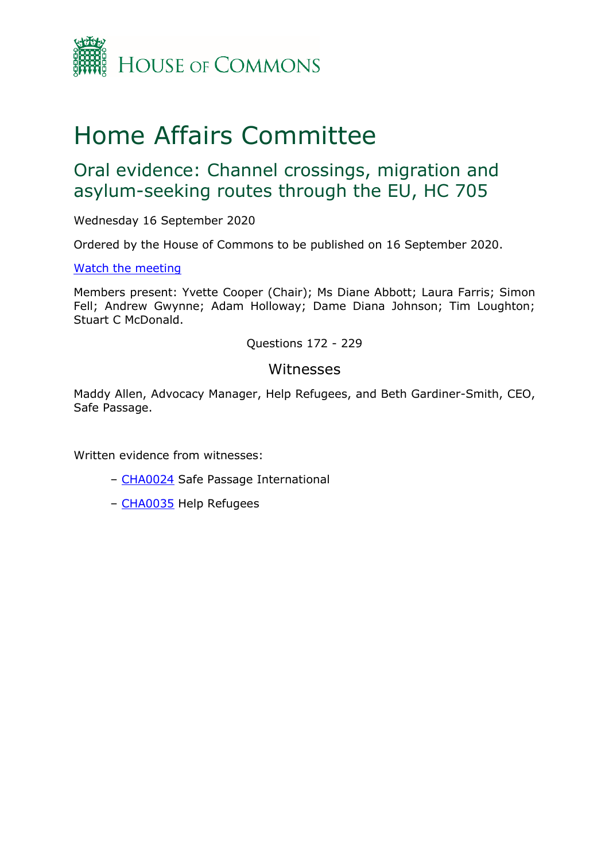

# Home Affairs Committee

## Oral evidence: Channel crossings, migration and asylum-seeking routes through the EU, HC 705

Wednesday 16 September 2020

Ordered by the House of Commons to be published on 16 September 2020.

## [Watch the meeting](https://www.parliamentlive.tv/Event/Index/9681dc26-7fc7-4b56-a47d-41ea3c199c21)

Members present: Yvette Cooper (Chair); Ms Diane Abbott; Laura Farris; Simon Fell; Andrew Gwynne; Adam Holloway; Dame Diana Johnson; Tim Loughton; Stuart C McDonald.

## Questions 172 - 229

## Witnesses

Maddy Allen, Advocacy Manager, Help Refugees, and Beth Gardiner-Smith, CEO, Safe Passage.

Written evidence from witnesses:

- [CHA0024](https://committees.parliament.uk/writtenevidence/11872/pdf/) Safe Passage International
- [CHA0035](https://committees.parliament.uk/writtenevidence/11918/pdf/) Help Refugees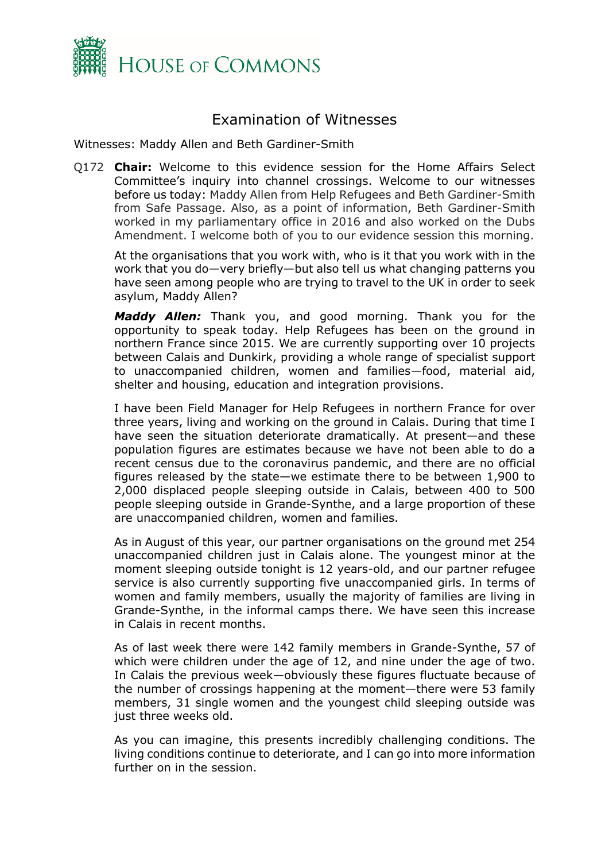

## Examination of Witnesses

Witnesses: Maddy Allen and Beth Gardiner-Smith

Q172 **Chair:** Welcome to this evidence session for the Home Affairs Select Committee's inquiry into channel crossings. Welcome to our witnesses before us today: Maddy Allen from Help Refugees and Beth Gardiner-Smith from Safe Passage. Also, as a point of information, Beth Gardiner-Smith worked in my parliamentary office in 2016 and also worked on the Dubs Amendment. I welcome both of you to our evidence session this morning.

At the organisations that you work with, who is it that you work with in the work that you do—very briefly—but also tell us what changing patterns you have seen among people who are trying to travel to the UK in order to seek asylum, Maddy Allen?

*Maddy Allen:* Thank you, and good morning. Thank you for the opportunity to speak today. Help Refugees has been on the ground in northern France since 2015. We are currently supporting over 10 projects between Calais and Dunkirk, providing a whole range of specialist support to unaccompanied children, women and families—food, material aid, shelter and housing, education and integration provisions.

I have been Field Manager for Help Refugees in northern France for over three years, living and working on the ground in Calais. During that time I have seen the situation deteriorate dramatically. At present—and these population figures are estimates because we have not been able to do a recent census due to the coronavirus pandemic, and there are no official figures released by the state—we estimate there to be between 1,900 to 2,000 displaced people sleeping outside in Calais, between 400 to 500 people sleeping outside in Grande-Synthe, and a large proportion of these are unaccompanied children, women and families.

As in August of this year, our partner organisations on the ground met 254 unaccompanied children just in Calais alone. The youngest minor at the moment sleeping outside tonight is 12 years-old, and our partner refugee service is also currently supporting five unaccompanied girls. In terms of women and family members, usually the majority of families are living in Grande-Synthe, in the informal camps there. We have seen this increase in Calais in recent months.

As of last week there were 142 family members in Grande-Synthe, 57 of which were children under the age of 12, and nine under the age of two. In Calais the previous week—obviously these figures fluctuate because of the number of crossings happening at the moment—there were 53 family members, 31 single women and the youngest child sleeping outside was just three weeks old.

As you can imagine, this presents incredibly challenging conditions. The living conditions continue to deteriorate, and I can go into more information further on in the session.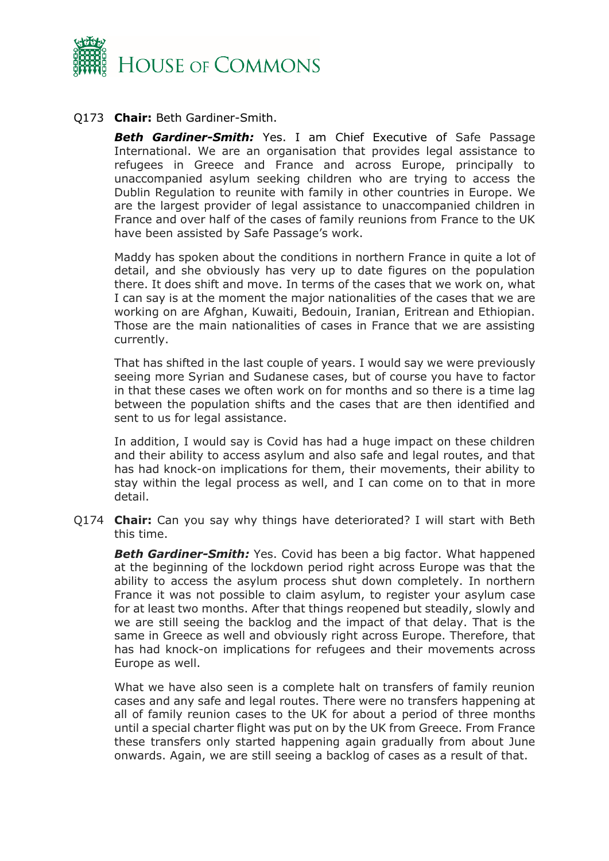

## Q173 **Chair:** Beth Gardiner-Smith.

*Beth Gardiner-Smith:* Yes. I am Chief Executive of Safe Passage International. We are an organisation that provides legal assistance to refugees in Greece and France and across Europe, principally to unaccompanied asylum seeking children who are trying to access the Dublin Regulation to reunite with family in other countries in Europe. We are the largest provider of legal assistance to unaccompanied children in France and over half of the cases of family reunions from France to the UK have been assisted by Safe Passage's work.

Maddy has spoken about the conditions in northern France in quite a lot of detail, and she obviously has very up to date figures on the population there. It does shift and move. In terms of the cases that we work on, what I can say is at the moment the major nationalities of the cases that we are working on are Afghan, Kuwaiti, Bedouin, Iranian, Eritrean and Ethiopian. Those are the main nationalities of cases in France that we are assisting currently.

That has shifted in the last couple of years. I would say we were previously seeing more Syrian and Sudanese cases, but of course you have to factor in that these cases we often work on for months and so there is a time lag between the population shifts and the cases that are then identified and sent to us for legal assistance.

In addition, I would say is Covid has had a huge impact on these children and their ability to access asylum and also safe and legal routes, and that has had knock-on implications for them, their movements, their ability to stay within the legal process as well, and I can come on to that in more detail.

Q174 **Chair:** Can you say why things have deteriorated? I will start with Beth this time.

**Beth Gardiner-Smith:** Yes. Covid has been a big factor. What happened at the beginning of the lockdown period right across Europe was that the ability to access the asylum process shut down completely. In northern France it was not possible to claim asylum, to register your asylum case for at least two months. After that things reopened but steadily, slowly and we are still seeing the backlog and the impact of that delay. That is the same in Greece as well and obviously right across Europe. Therefore, that has had knock-on implications for refugees and their movements across Europe as well.

What we have also seen is a complete halt on transfers of family reunion cases and any safe and legal routes. There were no transfers happening at all of family reunion cases to the UK for about a period of three months until a special charter flight was put on by the UK from Greece. From France these transfers only started happening again gradually from about June onwards. Again, we are still seeing a backlog of cases as a result of that.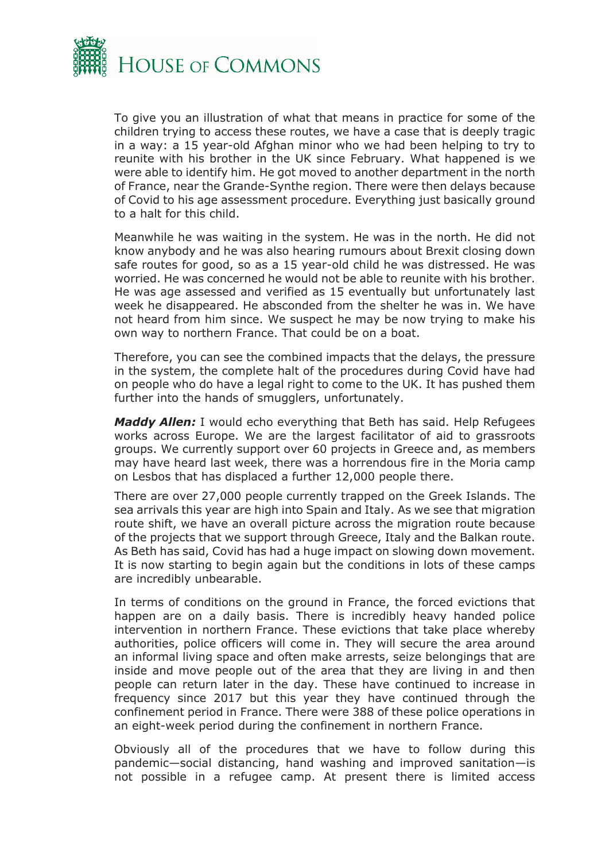

To give you an illustration of what that means in practice for some of the children trying to access these routes, we have a case that is deeply tragic in a way: a 15 year-old Afghan minor who we had been helping to try to reunite with his brother in the UK since February. What happened is we were able to identify him. He got moved to another department in the north of France, near the Grande-Synthe region. There were then delays because of Covid to his age assessment procedure. Everything just basically ground to a halt for this child.

Meanwhile he was waiting in the system. He was in the north. He did not know anybody and he was also hearing rumours about Brexit closing down safe routes for good, so as a 15 year-old child he was distressed. He was worried. He was concerned he would not be able to reunite with his brother. He was age assessed and verified as 15 eventually but unfortunately last week he disappeared. He absconded from the shelter he was in. We have not heard from him since. We suspect he may be now trying to make his own way to northern France. That could be on a boat.

Therefore, you can see the combined impacts that the delays, the pressure in the system, the complete halt of the procedures during Covid have had on people who do have a legal right to come to the UK. It has pushed them further into the hands of smugglers, unfortunately.

*Maddy Allen:* I would echo everything that Beth has said. Help Refugees works across Europe. We are the largest facilitator of aid to grassroots groups. We currently support over 60 projects in Greece and, as members may have heard last week, there was a horrendous fire in the Moria camp on Lesbos that has displaced a further 12,000 people there.

There are over 27,000 people currently trapped on the Greek Islands. The sea arrivals this year are high into Spain and Italy. As we see that migration route shift, we have an overall picture across the migration route because of the projects that we support through Greece, Italy and the Balkan route. As Beth has said, Covid has had a huge impact on slowing down movement. It is now starting to begin again but the conditions in lots of these camps are incredibly unbearable.

In terms of conditions on the ground in France, the forced evictions that happen are on a daily basis. There is incredibly heavy handed police intervention in northern France. These evictions that take place whereby authorities, police officers will come in. They will secure the area around an informal living space and often make arrests, seize belongings that are inside and move people out of the area that they are living in and then people can return later in the day. These have continued to increase in frequency since 2017 but this year they have continued through the confinement period in France. There were 388 of these police operations in an eight-week period during the confinement in northern France.

Obviously all of the procedures that we have to follow during this pandemic—social distancing, hand washing and improved sanitation—is not possible in a refugee camp. At present there is limited access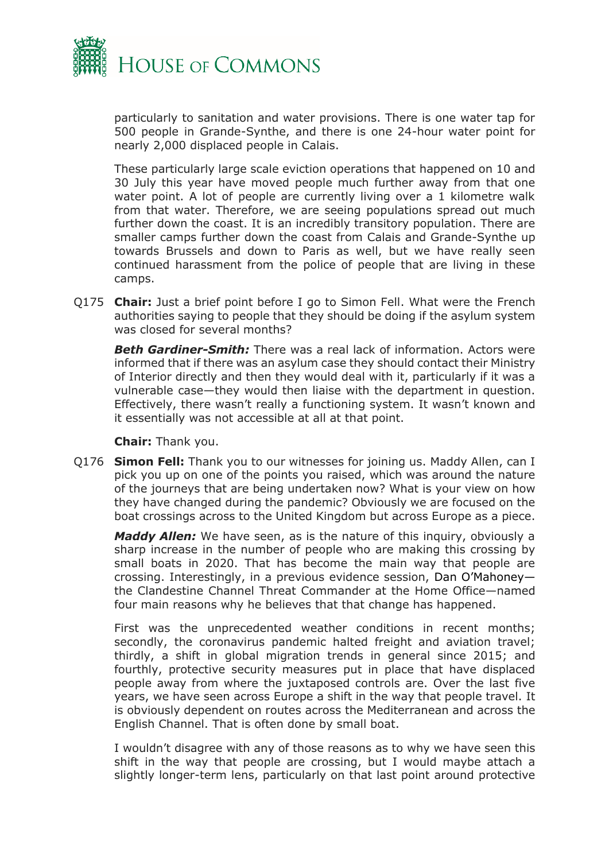

particularly to sanitation and water provisions. There is one water tap for 500 people in Grande-Synthe, and there is one 24-hour water point for nearly 2,000 displaced people in Calais.

These particularly large scale eviction operations that happened on 10 and 30 July this year have moved people much further away from that one water point. A lot of people are currently living over a 1 kilometre walk from that water. Therefore, we are seeing populations spread out much further down the coast. It is an incredibly transitory population. There are smaller camps further down the coast from Calais and Grande-Synthe up towards Brussels and down to Paris as well, but we have really seen continued harassment from the police of people that are living in these camps.

Q175 **Chair:** Just a brief point before I go to Simon Fell. What were the French authorities saying to people that they should be doing if the asylum system was closed for several months?

*Beth Gardiner-Smith:* There was a real lack of information. Actors were informed that if there was an asylum case they should contact their Ministry of Interior directly and then they would deal with it, particularly if it was a vulnerable case—they would then liaise with the department in question. Effectively, there wasn't really a functioning system. It wasn't known and it essentially was not accessible at all at that point.

**Chair:** Thank you.

Q176 **Simon Fell:** Thank you to our witnesses for joining us. Maddy Allen, can I pick you up on one of the points you raised, which was around the nature of the journeys that are being undertaken now? What is your view on how they have changed during the pandemic? Obviously we are focused on the boat crossings across to the United Kingdom but across Europe as a piece.

*Maddy Allen:* We have seen, as is the nature of this inquiry, obviously a sharp increase in the number of people who are making this crossing by small boats in 2020. That has become the main way that people are crossing. Interestingly, in a previous evidence session, Dan O'Mahoney the Clandestine Channel Threat Commander at the Home Office—named four main reasons why he believes that that change has happened.

First was the unprecedented weather conditions in recent months; secondly, the coronavirus pandemic halted freight and aviation travel; thirdly, a shift in global migration trends in general since 2015; and fourthly, protective security measures put in place that have displaced people away from where the juxtaposed controls are. Over the last five years, we have seen across Europe a shift in the way that people travel. It is obviously dependent on routes across the Mediterranean and across the English Channel. That is often done by small boat.

I wouldn't disagree with any of those reasons as to why we have seen this shift in the way that people are crossing, but I would maybe attach a slightly longer-term lens, particularly on that last point around protective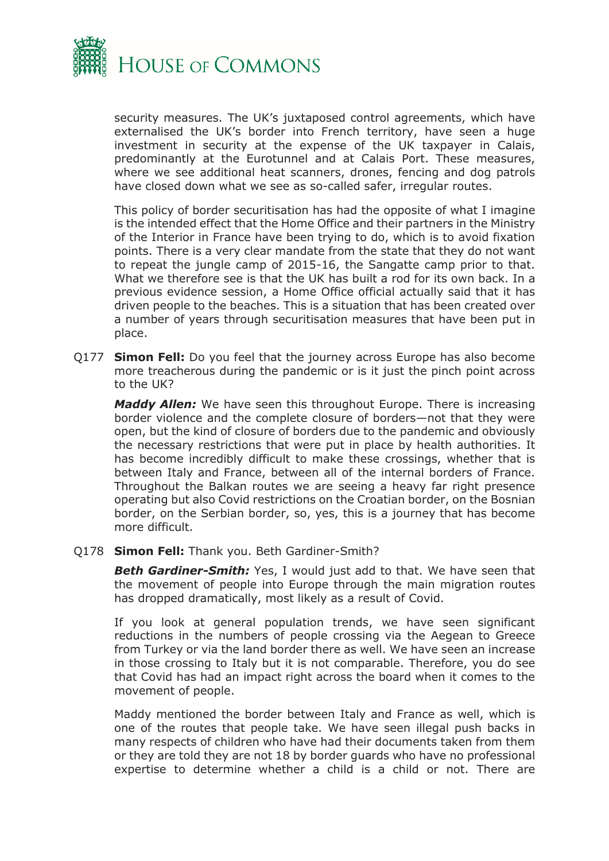

security measures. The UK's juxtaposed control agreements, which have externalised the UK's border into French territory, have seen a huge investment in security at the expense of the UK taxpayer in Calais, predominantly at the Eurotunnel and at Calais Port. These measures, where we see additional heat scanners, drones, fencing and dog patrols have closed down what we see as so-called safer, irregular routes.

This policy of border securitisation has had the opposite of what I imagine is the intended effect that the Home Office and their partners in the Ministry of the Interior in France have been trying to do, which is to avoid fixation points. There is a very clear mandate from the state that they do not want to repeat the jungle camp of 2015-16, the Sangatte camp prior to that. What we therefore see is that the UK has built a rod for its own back. In a previous evidence session, a Home Office official actually said that it has driven people to the beaches. This is a situation that has been created over a number of years through securitisation measures that have been put in place.

Q177 **Simon Fell:** Do you feel that the journey across Europe has also become more treacherous during the pandemic or is it just the pinch point across to the UK?

*Maddy Allen:* We have seen this throughout Europe. There is increasing border violence and the complete closure of borders—not that they were open, but the kind of closure of borders due to the pandemic and obviously the necessary restrictions that were put in place by health authorities. It has become incredibly difficult to make these crossings, whether that is between Italy and France, between all of the internal borders of France. Throughout the Balkan routes we are seeing a heavy far right presence operating but also Covid restrictions on the Croatian border, on the Bosnian border, on the Serbian border, so, yes, this is a journey that has become more difficult.

Q178 **Simon Fell:** Thank you. Beth Gardiner-Smith?

**Beth Gardiner-Smith:** Yes, I would just add to that. We have seen that the movement of people into Europe through the main migration routes has dropped dramatically, most likely as a result of Covid.

If you look at general population trends, we have seen significant reductions in the numbers of people crossing via the Aegean to Greece from Turkey or via the land border there as well. We have seen an increase in those crossing to Italy but it is not comparable. Therefore, you do see that Covid has had an impact right across the board when it comes to the movement of people.

Maddy mentioned the border between Italy and France as well, which is one of the routes that people take. We have seen illegal push backs in many respects of children who have had their documents taken from them or they are told they are not 18 by border guards who have no professional expertise to determine whether a child is a child or not. There are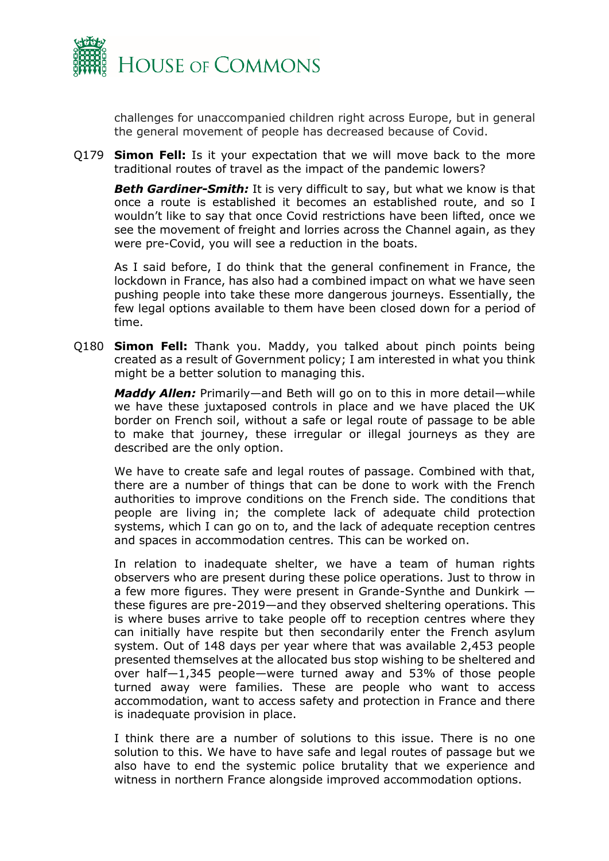

challenges for unaccompanied children right across Europe, but in general the general movement of people has decreased because of Covid.

Q179 **Simon Fell:** Is it your expectation that we will move back to the more traditional routes of travel as the impact of the pandemic lowers?

*Beth Gardiner-Smith:* It is very difficult to say, but what we know is that once a route is established it becomes an established route, and so I wouldn't like to say that once Covid restrictions have been lifted, once we see the movement of freight and lorries across the Channel again, as they were pre-Covid, you will see a reduction in the boats.

As I said before, I do think that the general confinement in France, the lockdown in France, has also had a combined impact on what we have seen pushing people into take these more dangerous journeys. Essentially, the few legal options available to them have been closed down for a period of time.

Q180 **Simon Fell:** Thank you. Maddy, you talked about pinch points being created as a result of Government policy; I am interested in what you think might be a better solution to managing this.

*Maddy Allen:* Primarily—and Beth will go on to this in more detail—while we have these juxtaposed controls in place and we have placed the UK border on French soil, without a safe or legal route of passage to be able to make that journey, these irregular or illegal journeys as they are described are the only option.

We have to create safe and legal routes of passage. Combined with that, there are a number of things that can be done to work with the French authorities to improve conditions on the French side. The conditions that people are living in; the complete lack of adequate child protection systems, which I can go on to, and the lack of adequate reception centres and spaces in accommodation centres. This can be worked on.

In relation to inadequate shelter, we have a team of human rights observers who are present during these police operations. Just to throw in a few more figures. They were present in Grande-Synthe and Dunkirk these figures are pre-2019—and they observed sheltering operations. This is where buses arrive to take people off to reception centres where they can initially have respite but then secondarily enter the French asylum system. Out of 148 days per year where that was available 2,453 people presented themselves at the allocated bus stop wishing to be sheltered and over half—1,345 people—were turned away and 53% of those people turned away were families. These are people who want to access accommodation, want to access safety and protection in France and there is inadequate provision in place.

I think there are a number of solutions to this issue. There is no one solution to this. We have to have safe and legal routes of passage but we also have to end the systemic police brutality that we experience and witness in northern France alongside improved accommodation options.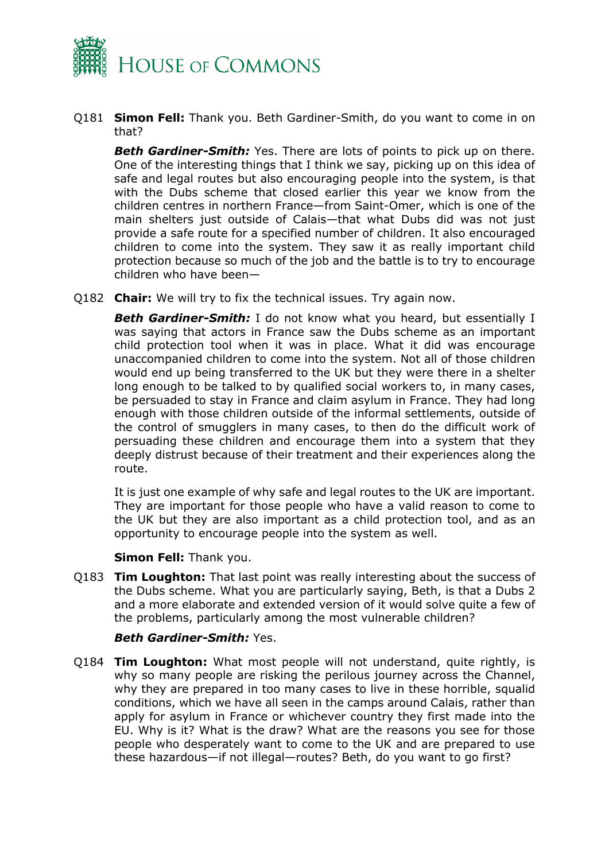

Q181 **Simon Fell:** Thank you. Beth Gardiner-Smith, do you want to come in on that?

**Beth Gardiner-Smith:** Yes. There are lots of points to pick up on there. One of the interesting things that I think we say, picking up on this idea of safe and legal routes but also encouraging people into the system, is that with the Dubs scheme that closed earlier this year we know from the children centres in northern France—from Saint-Omer, which is one of the main shelters just outside of Calais—that what Dubs did was not just provide a safe route for a specified number of children. It also encouraged children to come into the system. They saw it as really important child protection because so much of the job and the battle is to try to encourage children who have been—

Q182 **Chair:** We will try to fix the technical issues. Try again now.

**Beth Gardiner-Smith:** I do not know what you heard, but essentially I was saying that actors in France saw the Dubs scheme as an important child protection tool when it was in place. What it did was encourage unaccompanied children to come into the system. Not all of those children would end up being transferred to the UK but they were there in a shelter long enough to be talked to by qualified social workers to, in many cases, be persuaded to stay in France and claim asylum in France. They had long enough with those children outside of the informal settlements, outside of the control of smugglers in many cases, to then do the difficult work of persuading these children and encourage them into a system that they deeply distrust because of their treatment and their experiences along the route.

It is just one example of why safe and legal routes to the UK are important. They are important for those people who have a valid reason to come to the UK but they are also important as a child protection tool, and as an opportunity to encourage people into the system as well.

#### **Simon Fell:** Thank you.

Q183 **Tim Loughton:** That last point was really interesting about the success of the Dubs scheme. What you are particularly saying, Beth, is that a Dubs 2 and a more elaborate and extended version of it would solve quite a few of the problems, particularly among the most vulnerable children?

## *Beth Gardiner-Smith:* Yes.

Q184 **Tim Loughton:** What most people will not understand, quite rightly, is why so many people are risking the perilous journey across the Channel, why they are prepared in too many cases to live in these horrible, squalid conditions, which we have all seen in the camps around Calais, rather than apply for asylum in France or whichever country they first made into the EU. Why is it? What is the draw? What are the reasons you see for those people who desperately want to come to the UK and are prepared to use these hazardous—if not illegal—routes? Beth, do you want to go first?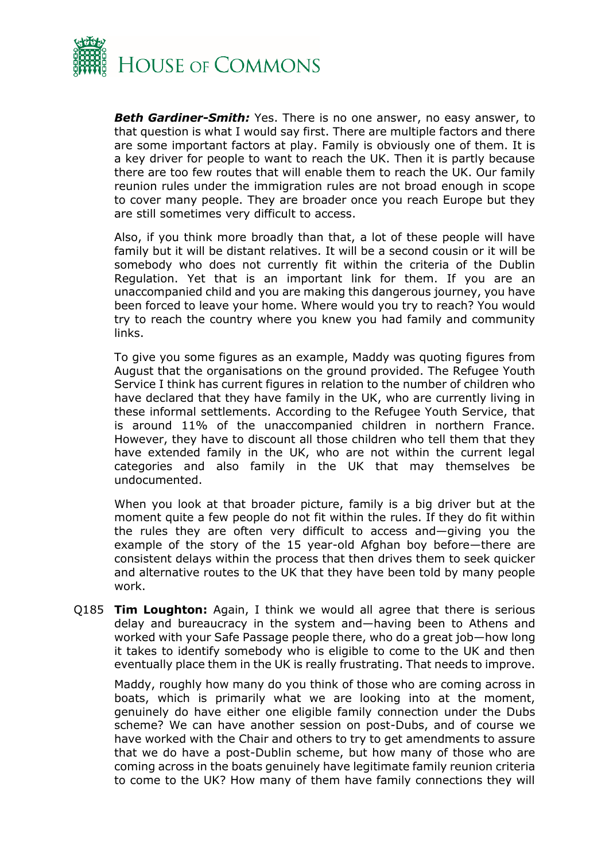

**Beth Gardiner-Smith:** Yes. There is no one answer, no easy answer, to that question is what I would say first. There are multiple factors and there are some important factors at play. Family is obviously one of them. It is a key driver for people to want to reach the UK. Then it is partly because there are too few routes that will enable them to reach the UK. Our family reunion rules under the immigration rules are not broad enough in scope to cover many people. They are broader once you reach Europe but they are still sometimes very difficult to access.

Also, if you think more broadly than that, a lot of these people will have family but it will be distant relatives. It will be a second cousin or it will be somebody who does not currently fit within the criteria of the Dublin Regulation. Yet that is an important link for them. If you are an unaccompanied child and you are making this dangerous journey, you have been forced to leave your home. Where would you try to reach? You would try to reach the country where you knew you had family and community links.

To give you some figures as an example, Maddy was quoting figures from August that the organisations on the ground provided. The Refugee Youth Service I think has current figures in relation to the number of children who have declared that they have family in the UK, who are currently living in these informal settlements. According to the Refugee Youth Service, that is around 11% of the unaccompanied children in northern France. However, they have to discount all those children who tell them that they have extended family in the UK, who are not within the current legal categories and also family in the UK that may themselves be undocumented.

When you look at that broader picture, family is a big driver but at the moment quite a few people do not fit within the rules. If they do fit within the rules they are often very difficult to access and—giving you the example of the story of the 15 year-old Afghan boy before—there are consistent delays within the process that then drives them to seek quicker and alternative routes to the UK that they have been told by many people work.

Q185 **Tim Loughton:** Again, I think we would all agree that there is serious delay and bureaucracy in the system and—having been to Athens and worked with your Safe Passage people there, who do a great job—how long it takes to identify somebody who is eligible to come to the UK and then eventually place them in the UK is really frustrating. That needs to improve.

Maddy, roughly how many do you think of those who are coming across in boats, which is primarily what we are looking into at the moment, genuinely do have either one eligible family connection under the Dubs scheme? We can have another session on post-Dubs, and of course we have worked with the Chair and others to try to get amendments to assure that we do have a post-Dublin scheme, but how many of those who are coming across in the boats genuinely have legitimate family reunion criteria to come to the UK? How many of them have family connections they will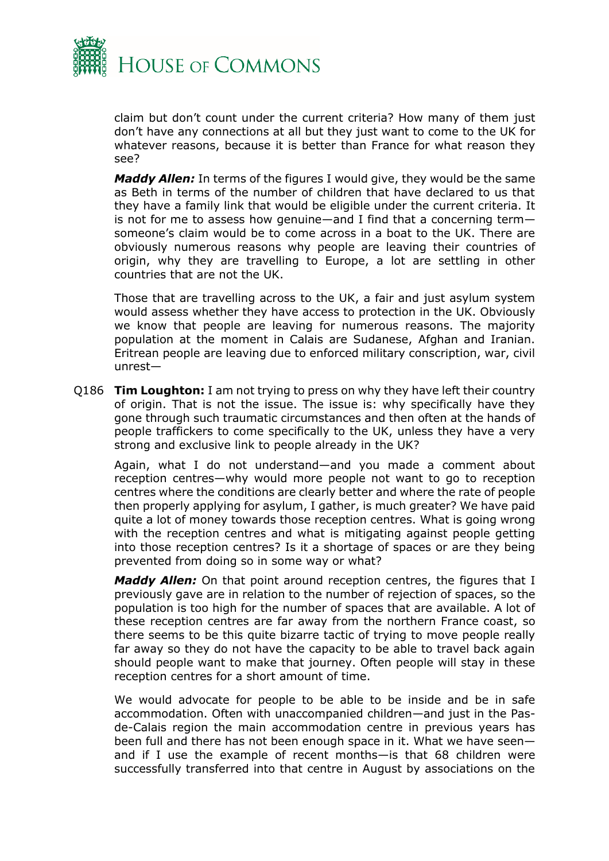

claim but don't count under the current criteria? How many of them just don't have any connections at all but they just want to come to the UK for whatever reasons, because it is better than France for what reason they see?

*Maddy Allen:* In terms of the figures I would give, they would be the same as Beth in terms of the number of children that have declared to us that they have a family link that would be eligible under the current criteria. It is not for me to assess how genuine—and I find that a concerning term someone's claim would be to come across in a boat to the UK. There are obviously numerous reasons why people are leaving their countries of origin, why they are travelling to Europe, a lot are settling in other countries that are not the UK.

Those that are travelling across to the UK, a fair and just asylum system would assess whether they have access to protection in the UK. Obviously we know that people are leaving for numerous reasons. The majority population at the moment in Calais are Sudanese, Afghan and Iranian. Eritrean people are leaving due to enforced military conscription, war, civil unrest—

Q186 **Tim Loughton:** I am not trying to press on why they have left their country of origin. That is not the issue. The issue is: why specifically have they gone through such traumatic circumstances and then often at the hands of people traffickers to come specifically to the UK, unless they have a very strong and exclusive link to people already in the UK?

Again, what I do not understand—and you made a comment about reception centres—why would more people not want to go to reception centres where the conditions are clearly better and where the rate of people then properly applying for asylum, I gather, is much greater? We have paid quite a lot of money towards those reception centres. What is going wrong with the reception centres and what is mitigating against people getting into those reception centres? Is it a shortage of spaces or are they being prevented from doing so in some way or what?

*Maddy Allen:* On that point around reception centres, the figures that I previously gave are in relation to the number of rejection of spaces, so the population is too high for the number of spaces that are available. A lot of these reception centres are far away from the northern France coast, so there seems to be this quite bizarre tactic of trying to move people really far away so they do not have the capacity to be able to travel back again should people want to make that journey. Often people will stay in these reception centres for a short amount of time.

We would advocate for people to be able to be inside and be in safe accommodation. Often with unaccompanied children—and just in the Pasde-Calais region the main accommodation centre in previous years has been full and there has not been enough space in it. What we have seen and if I use the example of recent months—is that 68 children were successfully transferred into that centre in August by associations on the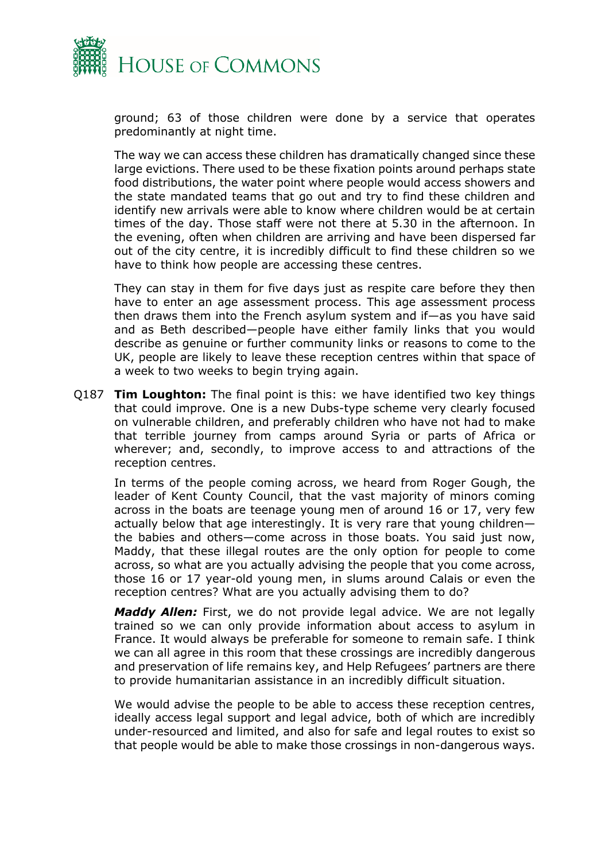

ground; 63 of those children were done by a service that operates predominantly at night time.

The way we can access these children has dramatically changed since these large evictions. There used to be these fixation points around perhaps state food distributions, the water point where people would access showers and the state mandated teams that go out and try to find these children and identify new arrivals were able to know where children would be at certain times of the day. Those staff were not there at 5.30 in the afternoon. In the evening, often when children are arriving and have been dispersed far out of the city centre, it is incredibly difficult to find these children so we have to think how people are accessing these centres.

They can stay in them for five days just as respite care before they then have to enter an age assessment process. This age assessment process then draws them into the French asylum system and if—as you have said and as Beth described—people have either family links that you would describe as genuine or further community links or reasons to come to the UK, people are likely to leave these reception centres within that space of a week to two weeks to begin trying again.

Q187 **Tim Loughton:** The final point is this: we have identified two key things that could improve. One is a new Dubs-type scheme very clearly focused on vulnerable children, and preferably children who have not had to make that terrible journey from camps around Syria or parts of Africa or wherever; and, secondly, to improve access to and attractions of the reception centres.

In terms of the people coming across, we heard from Roger Gough, the leader of Kent County Council, that the vast majority of minors coming across in the boats are teenage young men of around 16 or 17, very few actually below that age interestingly. It is very rare that young children the babies and others—come across in those boats. You said just now, Maddy, that these illegal routes are the only option for people to come across, so what are you actually advising the people that you come across, those 16 or 17 year-old young men, in slums around Calais or even the reception centres? What are you actually advising them to do?

*Maddy Allen:* First, we do not provide legal advice. We are not legally trained so we can only provide information about access to asylum in France. It would always be preferable for someone to remain safe. I think we can all agree in this room that these crossings are incredibly dangerous and preservation of life remains key, and Help Refugees' partners are there to provide humanitarian assistance in an incredibly difficult situation.

We would advise the people to be able to access these reception centres, ideally access legal support and legal advice, both of which are incredibly under-resourced and limited, and also for safe and legal routes to exist so that people would be able to make those crossings in non-dangerous ways.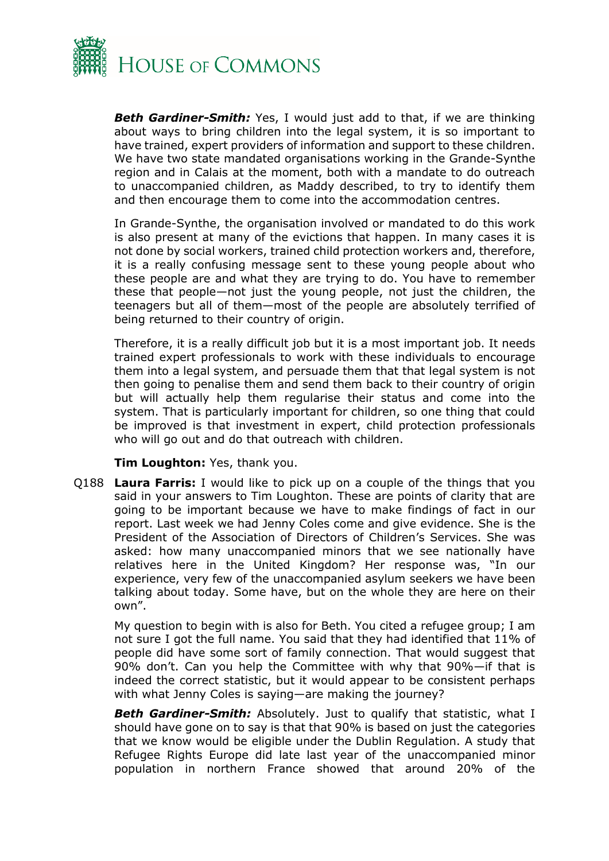

**Beth Gardiner-Smith:** Yes, I would just add to that, if we are thinking about ways to bring children into the legal system, it is so important to have trained, expert providers of information and support to these children. We have two state mandated organisations working in the Grande-Synthe region and in Calais at the moment, both with a mandate to do outreach to unaccompanied children, as Maddy described, to try to identify them and then encourage them to come into the accommodation centres.

In Grande-Synthe, the organisation involved or mandated to do this work is also present at many of the evictions that happen. In many cases it is not done by social workers, trained child protection workers and, therefore, it is a really confusing message sent to these young people about who these people are and what they are trying to do. You have to remember these that people—not just the young people, not just the children, the teenagers but all of them—most of the people are absolutely terrified of being returned to their country of origin.

Therefore, it is a really difficult job but it is a most important job. It needs trained expert professionals to work with these individuals to encourage them into a legal system, and persuade them that that legal system is not then going to penalise them and send them back to their country of origin but will actually help them regularise their status and come into the system. That is particularly important for children, so one thing that could be improved is that investment in expert, child protection professionals who will go out and do that outreach with children.

**Tim Loughton:** Yes, thank you.

Q188 **Laura Farris:** I would like to pick up on a couple of the things that you said in your answers to Tim Loughton. These are points of clarity that are going to be important because we have to make findings of fact in our report. Last week we had Jenny Coles come and give evidence. She is the President of the Association of Directors of Children's Services. She was asked: how many unaccompanied minors that we see nationally have relatives here in the United Kingdom? Her response was, "In our experience, very few of the unaccompanied asylum seekers we have been talking about today. Some have, but on the whole they are here on their own".

My question to begin with is also for Beth. You cited a refugee group; I am not sure I got the full name. You said that they had identified that 11% of people did have some sort of family connection. That would suggest that 90% don't. Can you help the Committee with why that 90%—if that is indeed the correct statistic, but it would appear to be consistent perhaps with what Jenny Coles is saying—are making the journey?

**Beth Gardiner-Smith:** Absolutely. Just to qualify that statistic, what I should have gone on to say is that that 90% is based on just the categories that we know would be eligible under the Dublin Regulation. A study that Refugee Rights Europe did late last year of the unaccompanied minor population in northern France showed that around 20% of the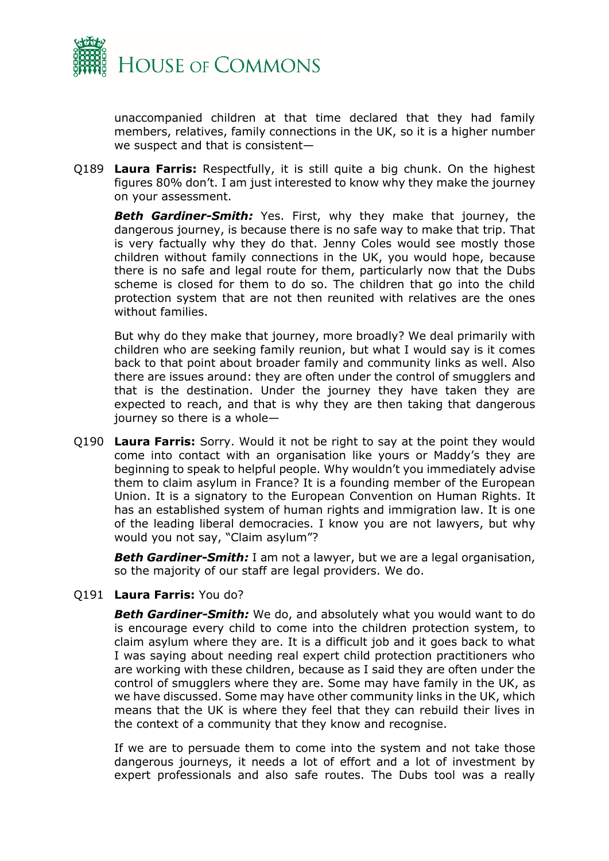

unaccompanied children at that time declared that they had family members, relatives, family connections in the UK, so it is a higher number we suspect and that is consistent—

Q189 **Laura Farris:** Respectfully, it is still quite a big chunk. On the highest figures 80% don't. I am just interested to know why they make the journey on your assessment.

*Beth Gardiner-Smith:* Yes. First, why they make that journey, the dangerous journey, is because there is no safe way to make that trip. That is very factually why they do that. Jenny Coles would see mostly those children without family connections in the UK, you would hope, because there is no safe and legal route for them, particularly now that the Dubs scheme is closed for them to do so. The children that go into the child protection system that are not then reunited with relatives are the ones without families.

But why do they make that journey, more broadly? We deal primarily with children who are seeking family reunion, but what I would say is it comes back to that point about broader family and community links as well. Also there are issues around: they are often under the control of smugglers and that is the destination. Under the journey they have taken they are expected to reach, and that is why they are then taking that dangerous journey so there is a whole—

Q190 **Laura Farris:** Sorry. Would it not be right to say at the point they would come into contact with an organisation like yours or Maddy's they are beginning to speak to helpful people. Why wouldn't you immediately advise them to claim asylum in France? It is a founding member of the European Union. It is a signatory to the European Convention on Human Rights. It has an established system of human rights and immigration law. It is one of the leading liberal democracies. I know you are not lawyers, but why would you not say, "Claim asylum"?

*Beth Gardiner-Smith:* I am not a lawyer, but we are a legal organisation, so the majority of our staff are legal providers. We do.

## Q191 **Laura Farris:** You do?

**Beth Gardiner-Smith:** We do, and absolutely what you would want to do is encourage every child to come into the children protection system, to claim asylum where they are. It is a difficult job and it goes back to what I was saying about needing real expert child protection practitioners who are working with these children, because as I said they are often under the control of smugglers where they are. Some may have family in the UK, as we have discussed. Some may have other community links in the UK, which means that the UK is where they feel that they can rebuild their lives in the context of a community that they know and recognise.

If we are to persuade them to come into the system and not take those dangerous journeys, it needs a lot of effort and a lot of investment by expert professionals and also safe routes. The Dubs tool was a really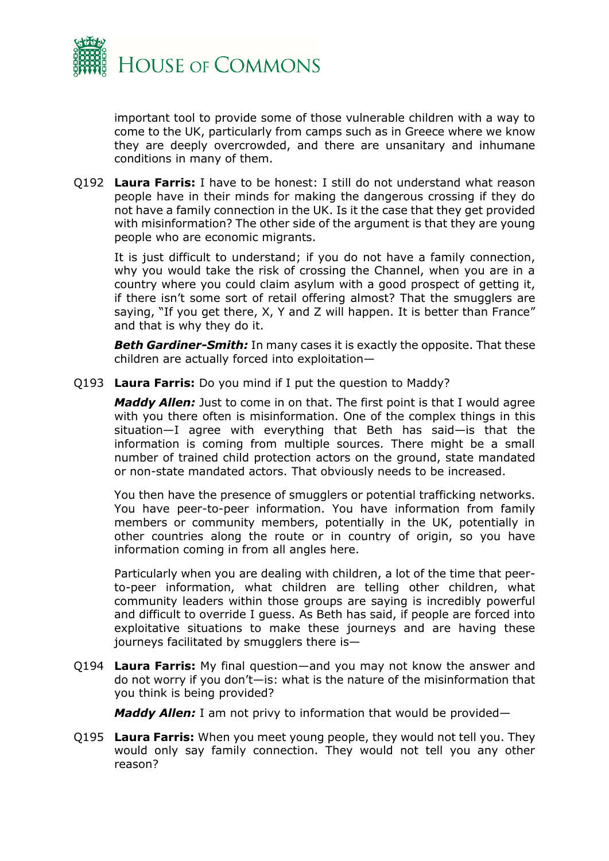

important tool to provide some of those vulnerable children with a way to come to the UK, particularly from camps such as in Greece where we know they are deeply overcrowded, and there are unsanitary and inhumane conditions in many of them.

Q192 **Laura Farris:** I have to be honest: I still do not understand what reason people have in their minds for making the dangerous crossing if they do not have a family connection in the UK. Is it the case that they get provided with misinformation? The other side of the argument is that they are young people who are economic migrants.

It is just difficult to understand; if you do not have a family connection, why you would take the risk of crossing the Channel, when you are in a country where you could claim asylum with a good prospect of getting it, if there isn't some sort of retail offering almost? That the smugglers are saying, "If you get there, X, Y and Z will happen. It is better than France" and that is why they do it.

**Beth Gardiner-Smith:** In many cases it is exactly the opposite. That these children are actually forced into exploitation—

Q193 **Laura Farris:** Do you mind if I put the question to Maddy?

*Maddy Allen:* Just to come in on that. The first point is that I would agree with you there often is misinformation. One of the complex things in this situation—I agree with everything that Beth has said—is that the information is coming from multiple sources. There might be a small number of trained child protection actors on the ground, state mandated or non-state mandated actors. That obviously needs to be increased.

You then have the presence of smugglers or potential trafficking networks. You have peer-to-peer information. You have information from family members or community members, potentially in the UK, potentially in other countries along the route or in country of origin, so you have information coming in from all angles here.

Particularly when you are dealing with children, a lot of the time that peerto-peer information, what children are telling other children, what community leaders within those groups are saying is incredibly powerful and difficult to override I guess. As Beth has said, if people are forced into exploitative situations to make these journeys and are having these journeys facilitated by smugglers there is—

Q194 **Laura Farris:** My final question—and you may not know the answer and do not worry if you don't—is: what is the nature of the misinformation that you think is being provided?

*Maddy Allen:* I am not privy to information that would be provided—

Q195 **Laura Farris:** When you meet young people, they would not tell you. They would only say family connection. They would not tell you any other reason?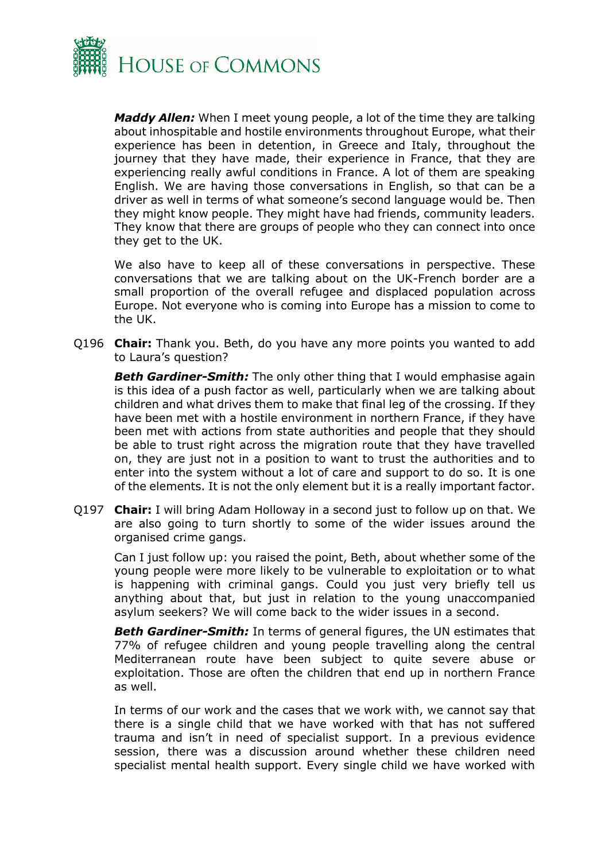

*Maddy Allen:* When I meet young people, a lot of the time they are talking about inhospitable and hostile environments throughout Europe, what their experience has been in detention, in Greece and Italy, throughout the journey that they have made, their experience in France, that they are experiencing really awful conditions in France. A lot of them are speaking English. We are having those conversations in English, so that can be a driver as well in terms of what someone's second language would be. Then they might know people. They might have had friends, community leaders. They know that there are groups of people who they can connect into once they get to the UK.

We also have to keep all of these conversations in perspective. These conversations that we are talking about on the UK-French border are a small proportion of the overall refugee and displaced population across Europe. Not everyone who is coming into Europe has a mission to come to the UK.

Q196 **Chair:** Thank you. Beth, do you have any more points you wanted to add to Laura's question?

**Beth Gardiner-Smith:** The only other thing that I would emphasise again is this idea of a push factor as well, particularly when we are talking about children and what drives them to make that final leg of the crossing. If they have been met with a hostile environment in northern France, if they have been met with actions from state authorities and people that they should be able to trust right across the migration route that they have travelled on, they are just not in a position to want to trust the authorities and to enter into the system without a lot of care and support to do so. It is one of the elements. It is not the only element but it is a really important factor.

Q197 **Chair:** I will bring Adam Holloway in a second just to follow up on that. We are also going to turn shortly to some of the wider issues around the organised crime gangs.

Can I just follow up: you raised the point, Beth, about whether some of the young people were more likely to be vulnerable to exploitation or to what is happening with criminal gangs. Could you just very briefly tell us anything about that, but just in relation to the young unaccompanied asylum seekers? We will come back to the wider issues in a second.

*Beth Gardiner-Smith:* In terms of general figures, the UN estimates that 77% of refugee children and young people travelling along the central Mediterranean route have been subject to quite severe abuse or exploitation. Those are often the children that end up in northern France as well.

In terms of our work and the cases that we work with, we cannot say that there is a single child that we have worked with that has not suffered trauma and isn't in need of specialist support. In a previous evidence session, there was a discussion around whether these children need specialist mental health support. Every single child we have worked with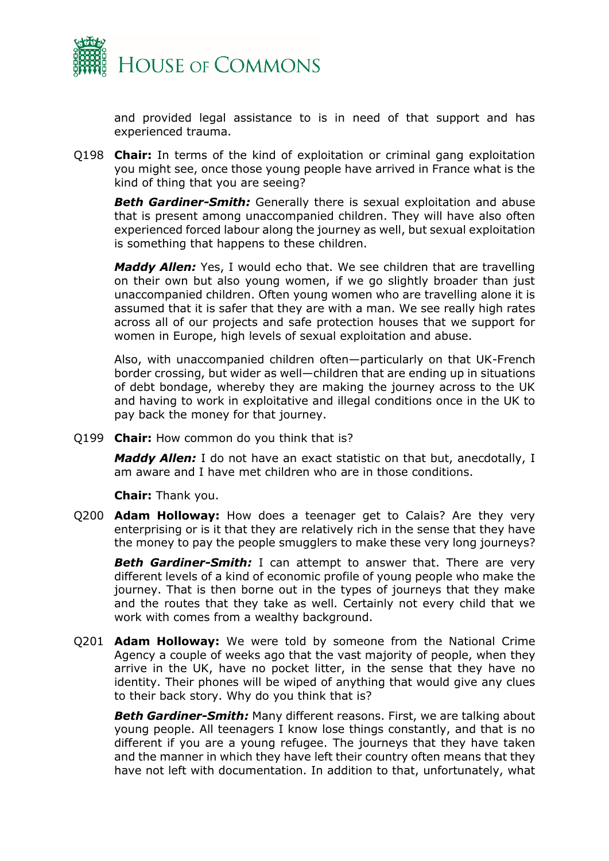

and provided legal assistance to is in need of that support and has experienced trauma.

Q198 **Chair:** In terms of the kind of exploitation or criminal gang exploitation you might see, once those young people have arrived in France what is the kind of thing that you are seeing?

**Beth Gardiner-Smith:** Generally there is sexual exploitation and abuse that is present among unaccompanied children. They will have also often experienced forced labour along the journey as well, but sexual exploitation is something that happens to these children.

*Maddy Allen:* Yes, I would echo that. We see children that are travelling on their own but also young women, if we go slightly broader than just unaccompanied children. Often young women who are travelling alone it is assumed that it is safer that they are with a man. We see really high rates across all of our projects and safe protection houses that we support for women in Europe, high levels of sexual exploitation and abuse.

Also, with unaccompanied children often—particularly on that UK-French border crossing, but wider as well—children that are ending up in situations of debt bondage, whereby they are making the journey across to the UK and having to work in exploitative and illegal conditions once in the UK to pay back the money for that journey.

Q199 **Chair:** How common do you think that is?

*Maddy Allen:* I do not have an exact statistic on that but, anecdotally, I am aware and I have met children who are in those conditions.

**Chair:** Thank you.

Q200 **Adam Holloway:** How does a teenager get to Calais? Are they very enterprising or is it that they are relatively rich in the sense that they have the money to pay the people smugglers to make these very long journeys?

**Beth Gardiner-Smith:** I can attempt to answer that. There are very different levels of a kind of economic profile of young people who make the journey. That is then borne out in the types of journeys that they make and the routes that they take as well. Certainly not every child that we work with comes from a wealthy background.

Q201 **Adam Holloway:** We were told by someone from the National Crime Agency a couple of weeks ago that the vast majority of people, when they arrive in the UK, have no pocket litter, in the sense that they have no identity. Their phones will be wiped of anything that would give any clues to their back story. Why do you think that is?

*Beth Gardiner-Smith:* Many different reasons. First, we are talking about young people. All teenagers I know lose things constantly, and that is no different if you are a young refugee. The journeys that they have taken and the manner in which they have left their country often means that they have not left with documentation. In addition to that, unfortunately, what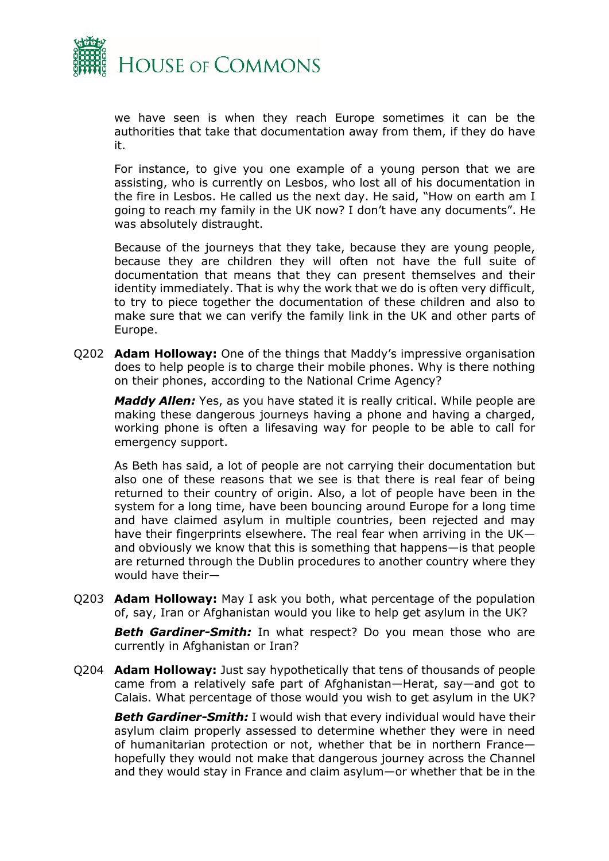

we have seen is when they reach Europe sometimes it can be the authorities that take that documentation away from them, if they do have it.

For instance, to give you one example of a young person that we are assisting, who is currently on Lesbos, who lost all of his documentation in the fire in Lesbos. He called us the next day. He said, "How on earth am I going to reach my family in the UK now? I don't have any documents". He was absolutely distraught.

Because of the journeys that they take, because they are young people, because they are children they will often not have the full suite of documentation that means that they can present themselves and their identity immediately. That is why the work that we do is often very difficult, to try to piece together the documentation of these children and also to make sure that we can verify the family link in the UK and other parts of Europe.

Q202 **Adam Holloway:** One of the things that Maddy's impressive organisation does to help people is to charge their mobile phones. Why is there nothing on their phones, according to the National Crime Agency?

*Maddy Allen:* Yes, as you have stated it is really critical. While people are making these dangerous journeys having a phone and having a charged, working phone is often a lifesaving way for people to be able to call for emergency support.

As Beth has said, a lot of people are not carrying their documentation but also one of these reasons that we see is that there is real fear of being returned to their country of origin. Also, a lot of people have been in the system for a long time, have been bouncing around Europe for a long time and have claimed asylum in multiple countries, been rejected and may have their fingerprints elsewhere. The real fear when arriving in the UK and obviously we know that this is something that happens—is that people are returned through the Dublin procedures to another country where they would have their—

Q203 **Adam Holloway:** May I ask you both, what percentage of the population of, say, Iran or Afghanistan would you like to help get asylum in the UK?

**Beth Gardiner-Smith:** In what respect? Do you mean those who are currently in Afghanistan or Iran?

Q204 **Adam Holloway:** Just say hypothetically that tens of thousands of people came from a relatively safe part of Afghanistan—Herat, say—and got to Calais. What percentage of those would you wish to get asylum in the UK?

*Beth Gardiner-Smith:* I would wish that every individual would have their asylum claim properly assessed to determine whether they were in need of humanitarian protection or not, whether that be in northern France hopefully they would not make that dangerous journey across the Channel and they would stay in France and claim asylum—or whether that be in the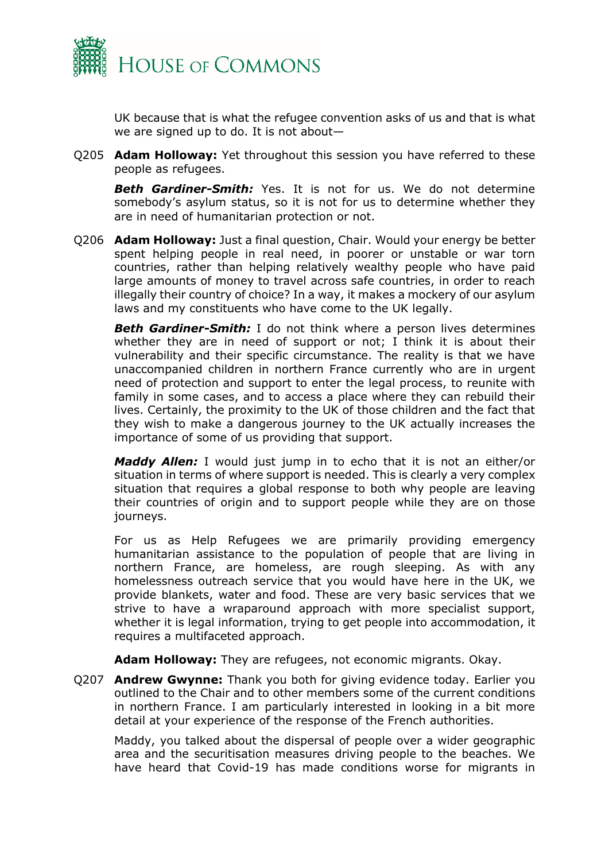

UK because that is what the refugee convention asks of us and that is what we are signed up to do. It is not about—

Q205 **Adam Holloway:** Yet throughout this session you have referred to these people as refugees.

*Beth Gardiner-Smith:* Yes. It is not for us. We do not determine somebody's asylum status, so it is not for us to determine whether they are in need of humanitarian protection or not.

Q206 **Adam Holloway:** Just a final question, Chair. Would your energy be better spent helping people in real need, in poorer or unstable or war torn countries, rather than helping relatively wealthy people who have paid large amounts of money to travel across safe countries, in order to reach illegally their country of choice? In a way, it makes a mockery of our asylum laws and my constituents who have come to the UK legally.

**Beth Gardiner-Smith:** I do not think where a person lives determines whether they are in need of support or not; I think it is about their vulnerability and their specific circumstance. The reality is that we have unaccompanied children in northern France currently who are in urgent need of protection and support to enter the legal process, to reunite with family in some cases, and to access a place where they can rebuild their lives. Certainly, the proximity to the UK of those children and the fact that they wish to make a dangerous journey to the UK actually increases the importance of some of us providing that support.

*Maddy Allen:* I would just jump in to echo that it is not an either/or situation in terms of where support is needed. This is clearly a very complex situation that requires a global response to both why people are leaving their countries of origin and to support people while they are on those journeys.

For us as Help Refugees we are primarily providing emergency humanitarian assistance to the population of people that are living in northern France, are homeless, are rough sleeping. As with any homelessness outreach service that you would have here in the UK, we provide blankets, water and food. These are very basic services that we strive to have a wraparound approach with more specialist support, whether it is legal information, trying to get people into accommodation, it requires a multifaceted approach.

**Adam Holloway:** They are refugees, not economic migrants. Okay.

Q207 **Andrew Gwynne:** Thank you both for giving evidence today. Earlier you outlined to the Chair and to other members some of the current conditions in northern France. I am particularly interested in looking in a bit more detail at your experience of the response of the French authorities.

Maddy, you talked about the dispersal of people over a wider geographic area and the securitisation measures driving people to the beaches. We have heard that Covid-19 has made conditions worse for migrants in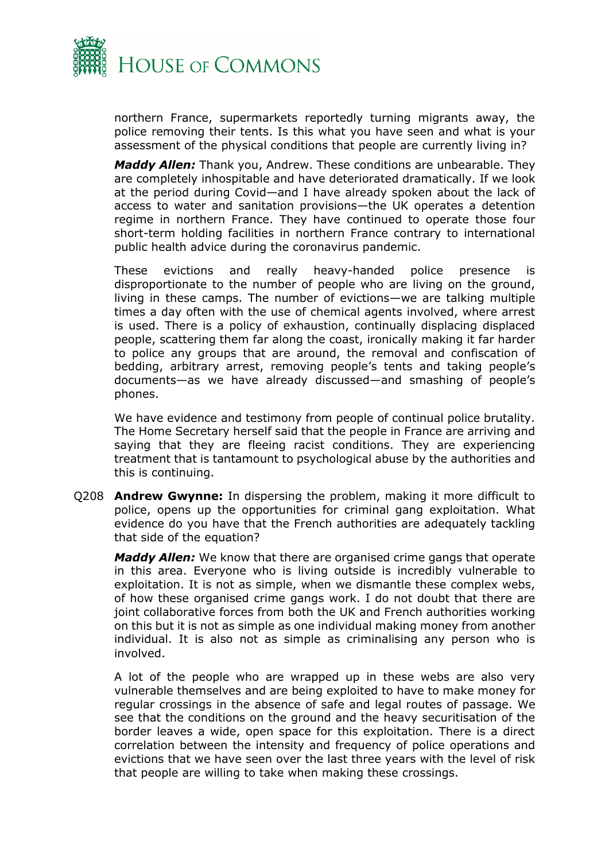![](_page_18_Picture_0.jpeg)

northern France, supermarkets reportedly turning migrants away, the police removing their tents. Is this what you have seen and what is your assessment of the physical conditions that people are currently living in?

*Maddy Allen:* Thank you, Andrew. These conditions are unbearable. They are completely inhospitable and have deteriorated dramatically. If we look at the period during Covid—and I have already spoken about the lack of access to water and sanitation provisions—the UK operates a detention regime in northern France. They have continued to operate those four short-term holding facilities in northern France contrary to international public health advice during the coronavirus pandemic.

These evictions and really heavy-handed police presence is disproportionate to the number of people who are living on the ground, living in these camps. The number of evictions—we are talking multiple times a day often with the use of chemical agents involved, where arrest is used. There is a policy of exhaustion, continually displacing displaced people, scattering them far along the coast, ironically making it far harder to police any groups that are around, the removal and confiscation of bedding, arbitrary arrest, removing people's tents and taking people's documents—as we have already discussed—and smashing of people's phones.

We have evidence and testimony from people of continual police brutality. The Home Secretary herself said that the people in France are arriving and saying that they are fleeing racist conditions. They are experiencing treatment that is tantamount to psychological abuse by the authorities and this is continuing.

Q208 **Andrew Gwynne:** In dispersing the problem, making it more difficult to police, opens up the opportunities for criminal gang exploitation. What evidence do you have that the French authorities are adequately tackling that side of the equation?

*Maddy Allen:* We know that there are organised crime gangs that operate in this area. Everyone who is living outside is incredibly vulnerable to exploitation. It is not as simple, when we dismantle these complex webs, of how these organised crime gangs work. I do not doubt that there are joint collaborative forces from both the UK and French authorities working on this but it is not as simple as one individual making money from another individual. It is also not as simple as criminalising any person who is involved.

A lot of the people who are wrapped up in these webs are also very vulnerable themselves and are being exploited to have to make money for regular crossings in the absence of safe and legal routes of passage. We see that the conditions on the ground and the heavy securitisation of the border leaves a wide, open space for this exploitation. There is a direct correlation between the intensity and frequency of police operations and evictions that we have seen over the last three years with the level of risk that people are willing to take when making these crossings.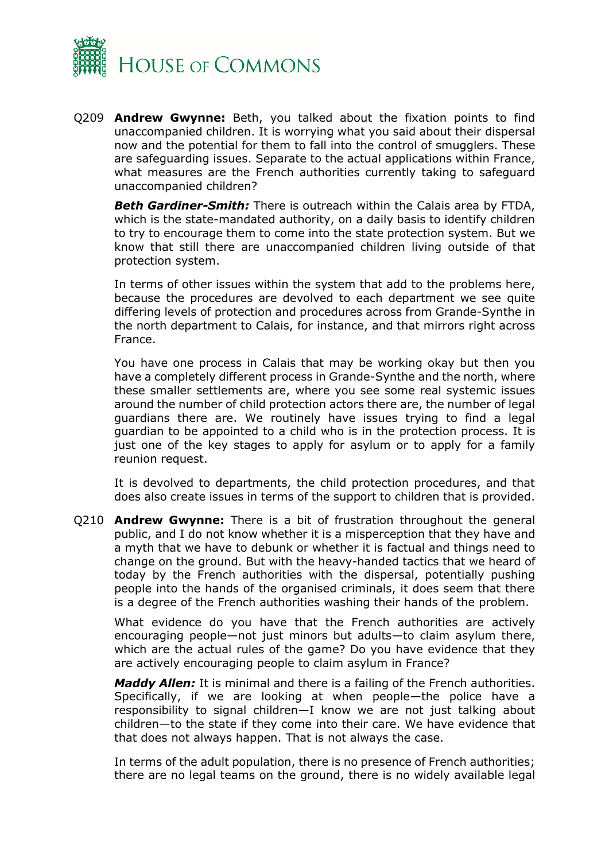![](_page_19_Picture_0.jpeg)

Q209 **Andrew Gwynne:** Beth, you talked about the fixation points to find unaccompanied children. It is worrying what you said about their dispersal now and the potential for them to fall into the control of smugglers. These are safeguarding issues. Separate to the actual applications within France, what measures are the French authorities currently taking to safeguard unaccompanied children?

*Beth Gardiner-Smith:* There is outreach within the Calais area by FTDA, which is the state-mandated authority, on a daily basis to identify children to try to encourage them to come into the state protection system. But we know that still there are unaccompanied children living outside of that protection system.

In terms of other issues within the system that add to the problems here, because the procedures are devolved to each department we see quite differing levels of protection and procedures across from Grande-Synthe in the north department to Calais, for instance, and that mirrors right across France.

You have one process in Calais that may be working okay but then you have a completely different process in Grande-Synthe and the north, where these smaller settlements are, where you see some real systemic issues around the number of child protection actors there are, the number of legal guardians there are. We routinely have issues trying to find a legal guardian to be appointed to a child who is in the protection process. It is just one of the key stages to apply for asylum or to apply for a family reunion request.

It is devolved to departments, the child protection procedures, and that does also create issues in terms of the support to children that is provided.

Q210 **Andrew Gwynne:** There is a bit of frustration throughout the general public, and I do not know whether it is a misperception that they have and a myth that we have to debunk or whether it is factual and things need to change on the ground. But with the heavy-handed tactics that we heard of today by the French authorities with the dispersal, potentially pushing people into the hands of the organised criminals, it does seem that there is a degree of the French authorities washing their hands of the problem.

What evidence do you have that the French authorities are actively encouraging people—not just minors but adults—to claim asylum there, which are the actual rules of the game? Do you have evidence that they are actively encouraging people to claim asylum in France?

*Maddy Allen:* It is minimal and there is a failing of the French authorities. Specifically, if we are looking at when people—the police have a responsibility to signal children—I know we are not just talking about children—to the state if they come into their care. We have evidence that that does not always happen. That is not always the case.

In terms of the adult population, there is no presence of French authorities; there are no legal teams on the ground, there is no widely available legal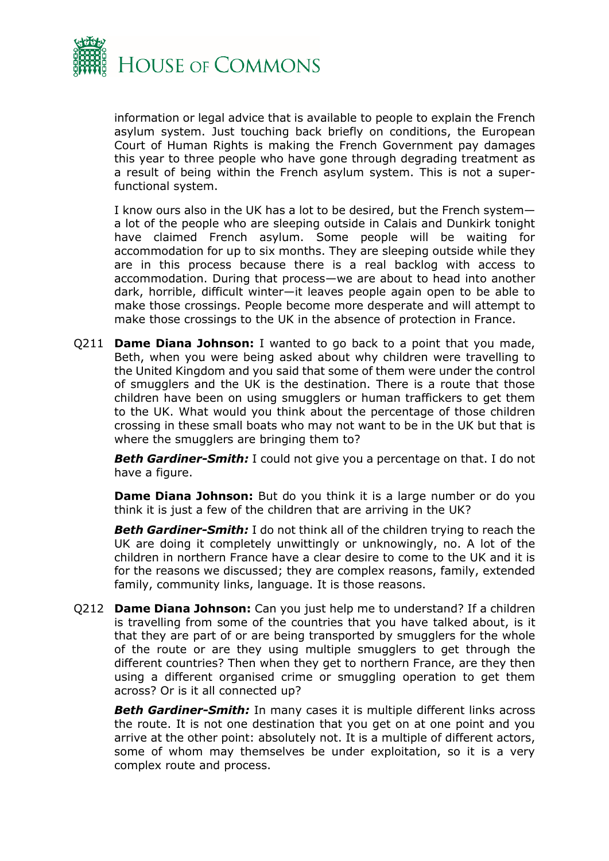![](_page_20_Picture_0.jpeg)

information or legal advice that is available to people to explain the French asylum system. Just touching back briefly on conditions, the European Court of Human Rights is making the French Government pay damages this year to three people who have gone through degrading treatment as a result of being within the French asylum system. This is not a superfunctional system.

I know ours also in the UK has a lot to be desired, but the French system a lot of the people who are sleeping outside in Calais and Dunkirk tonight have claimed French asylum. Some people will be waiting for accommodation for up to six months. They are sleeping outside while they are in this process because there is a real backlog with access to accommodation. During that process—we are about to head into another dark, horrible, difficult winter—it leaves people again open to be able to make those crossings. People become more desperate and will attempt to make those crossings to the UK in the absence of protection in France.

Q211 **Dame Diana Johnson:** I wanted to go back to a point that you made, Beth, when you were being asked about why children were travelling to the United Kingdom and you said that some of them were under the control of smugglers and the UK is the destination. There is a route that those children have been on using smugglers or human traffickers to get them to the UK. What would you think about the percentage of those children crossing in these small boats who may not want to be in the UK but that is where the smugglers are bringing them to?

**Beth Gardiner-Smith:** I could not give you a percentage on that. I do not have a figure.

**Dame Diana Johnson:** But do you think it is a large number or do you think it is just a few of the children that are arriving in the UK?

*Beth Gardiner-Smith:* I do not think all of the children trying to reach the UK are doing it completely unwittingly or unknowingly, no. A lot of the children in northern France have a clear desire to come to the UK and it is for the reasons we discussed; they are complex reasons, family, extended family, community links, language. It is those reasons.

Q212 **Dame Diana Johnson:** Can you just help me to understand? If a children is travelling from some of the countries that you have talked about, is it that they are part of or are being transported by smugglers for the whole of the route or are they using multiple smugglers to get through the different countries? Then when they get to northern France, are they then using a different organised crime or smuggling operation to get them across? Or is it all connected up?

**Beth Gardiner-Smith:** In many cases it is multiple different links across the route. It is not one destination that you get on at one point and you arrive at the other point: absolutely not. It is a multiple of different actors, some of whom may themselves be under exploitation, so it is a very complex route and process.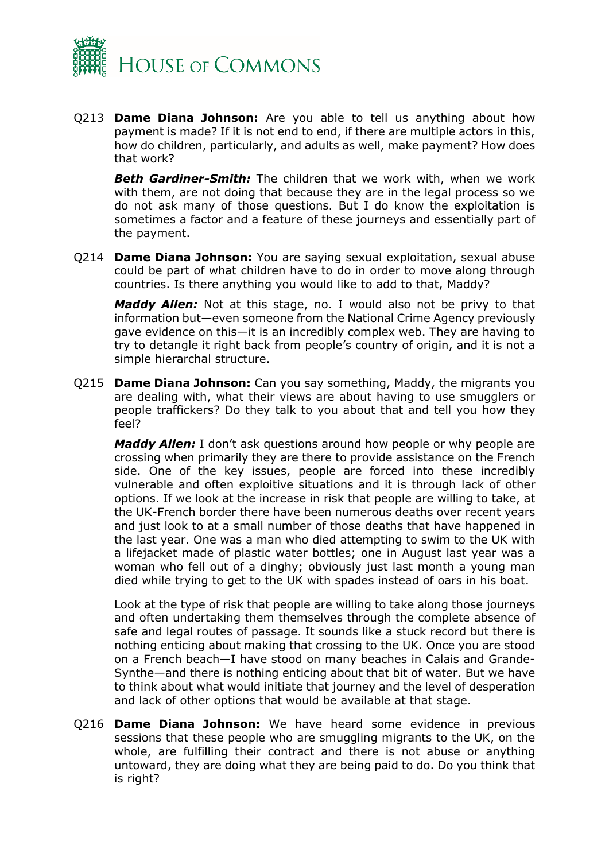![](_page_21_Picture_0.jpeg)

Q213 **Dame Diana Johnson:** Are you able to tell us anything about how payment is made? If it is not end to end, if there are multiple actors in this, how do children, particularly, and adults as well, make payment? How does that work?

*Beth Gardiner-Smith:* The children that we work with, when we work with them, are not doing that because they are in the legal process so we do not ask many of those questions. But I do know the exploitation is sometimes a factor and a feature of these journeys and essentially part of the payment.

Q214 **Dame Diana Johnson:** You are saying sexual exploitation, sexual abuse could be part of what children have to do in order to move along through countries. Is there anything you would like to add to that, Maddy?

*Maddy Allen:* Not at this stage, no. I would also not be privy to that information but—even someone from the National Crime Agency previously gave evidence on this—it is an incredibly complex web. They are having to try to detangle it right back from people's country of origin, and it is not a simple hierarchal structure.

Q215 **Dame Diana Johnson:** Can you say something, Maddy, the migrants you are dealing with, what their views are about having to use smugglers or people traffickers? Do they talk to you about that and tell you how they feel?

*Maddy Allen:* I don't ask questions around how people or why people are crossing when primarily they are there to provide assistance on the French side. One of the key issues, people are forced into these incredibly vulnerable and often exploitive situations and it is through lack of other options. If we look at the increase in risk that people are willing to take, at the UK-French border there have been numerous deaths over recent years and just look to at a small number of those deaths that have happened in the last year. One was a man who died attempting to swim to the UK with a lifejacket made of plastic water bottles; one in August last year was a woman who fell out of a dinghy; obviously just last month a young man died while trying to get to the UK with spades instead of oars in his boat.

Look at the type of risk that people are willing to take along those journeys and often undertaking them themselves through the complete absence of safe and legal routes of passage. It sounds like a stuck record but there is nothing enticing about making that crossing to the UK. Once you are stood on a French beach—I have stood on many beaches in Calais and Grande-Synthe—and there is nothing enticing about that bit of water. But we have to think about what would initiate that journey and the level of desperation and lack of other options that would be available at that stage.

Q216 **Dame Diana Johnson:** We have heard some evidence in previous sessions that these people who are smuggling migrants to the UK, on the whole, are fulfilling their contract and there is not abuse or anything untoward, they are doing what they are being paid to do. Do you think that is right?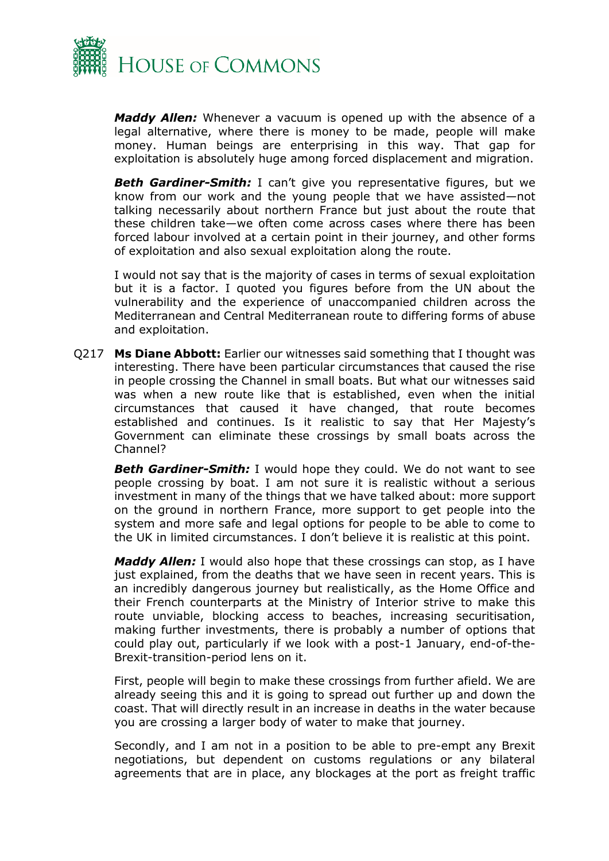![](_page_22_Picture_0.jpeg)

*Maddy Allen:* Whenever a vacuum is opened up with the absence of a legal alternative, where there is money to be made, people will make money. Human beings are enterprising in this way. That gap for exploitation is absolutely huge among forced displacement and migration.

**Beth Gardiner-Smith:** I can't give you representative figures, but we know from our work and the young people that we have assisted—not talking necessarily about northern France but just about the route that these children take—we often come across cases where there has been forced labour involved at a certain point in their journey, and other forms of exploitation and also sexual exploitation along the route.

I would not say that is the majority of cases in terms of sexual exploitation but it is a factor. I quoted you figures before from the UN about the vulnerability and the experience of unaccompanied children across the Mediterranean and Central Mediterranean route to differing forms of abuse and exploitation.

Q217 **Ms Diane Abbott:** Earlier our witnesses said something that I thought was interesting. There have been particular circumstances that caused the rise in people crossing the Channel in small boats. But what our witnesses said was when a new route like that is established, even when the initial circumstances that caused it have changed, that route becomes established and continues. Is it realistic to say that Her Majesty's Government can eliminate these crossings by small boats across the Channel?

**Beth Gardiner-Smith:** I would hope they could. We do not want to see people crossing by boat. I am not sure it is realistic without a serious investment in many of the things that we have talked about: more support on the ground in northern France, more support to get people into the system and more safe and legal options for people to be able to come to the UK in limited circumstances. I don't believe it is realistic at this point.

*Maddy Allen:* I would also hope that these crossings can stop, as I have just explained, from the deaths that we have seen in recent years. This is an incredibly dangerous journey but realistically, as the Home Office and their French counterparts at the Ministry of Interior strive to make this route unviable, blocking access to beaches, increasing securitisation, making further investments, there is probably a number of options that could play out, particularly if we look with a post-1 January, end-of-the-Brexit-transition-period lens on it.

First, people will begin to make these crossings from further afield. We are already seeing this and it is going to spread out further up and down the coast. That will directly result in an increase in deaths in the water because you are crossing a larger body of water to make that journey.

Secondly, and I am not in a position to be able to pre-empt any Brexit negotiations, but dependent on customs regulations or any bilateral agreements that are in place, any blockages at the port as freight traffic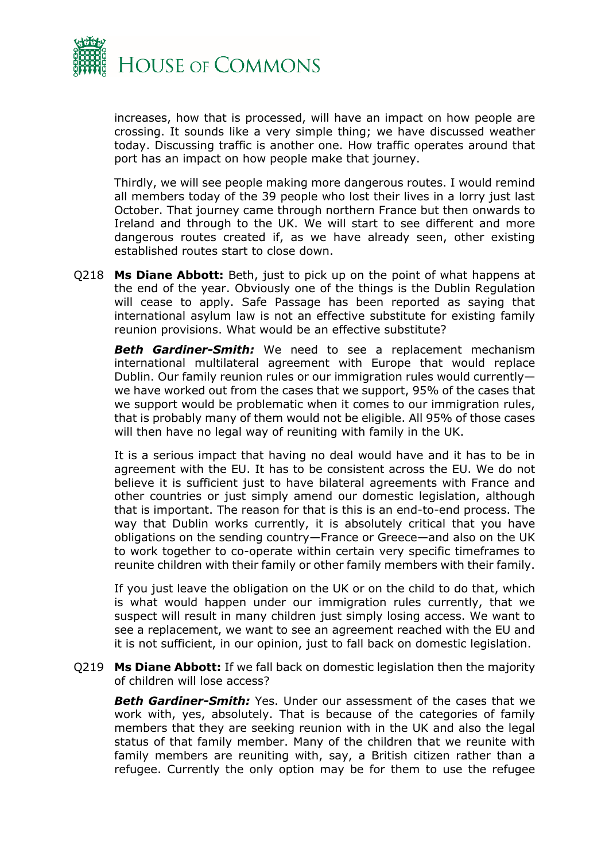![](_page_23_Picture_0.jpeg)

increases, how that is processed, will have an impact on how people are crossing. It sounds like a very simple thing; we have discussed weather today. Discussing traffic is another one. How traffic operates around that port has an impact on how people make that journey.

Thirdly, we will see people making more dangerous routes. I would remind all members today of the 39 people who lost their lives in a lorry just last October. That journey came through northern France but then onwards to Ireland and through to the UK. We will start to see different and more dangerous routes created if, as we have already seen, other existing established routes start to close down.

Q218 **Ms Diane Abbott:** Beth, just to pick up on the point of what happens at the end of the year. Obviously one of the things is the Dublin Regulation will cease to apply. Safe Passage has been reported as saying that international asylum law is not an effective substitute for existing family reunion provisions. What would be an effective substitute?

*Beth Gardiner-Smith:* We need to see a replacement mechanism international multilateral agreement with Europe that would replace Dublin. Our family reunion rules or our immigration rules would currently we have worked out from the cases that we support, 95% of the cases that we support would be problematic when it comes to our immigration rules, that is probably many of them would not be eligible. All 95% of those cases will then have no legal way of reuniting with family in the UK.

It is a serious impact that having no deal would have and it has to be in agreement with the EU. It has to be consistent across the EU. We do not believe it is sufficient just to have bilateral agreements with France and other countries or just simply amend our domestic legislation, although that is important. The reason for that is this is an end-to-end process. The way that Dublin works currently, it is absolutely critical that you have obligations on the sending country—France or Greece—and also on the UK to work together to co-operate within certain very specific timeframes to reunite children with their family or other family members with their family.

If you just leave the obligation on the UK or on the child to do that, which is what would happen under our immigration rules currently, that we suspect will result in many children just simply losing access. We want to see a replacement, we want to see an agreement reached with the EU and it is not sufficient, in our opinion, just to fall back on domestic legislation.

Q219 **Ms Diane Abbott:** If we fall back on domestic legislation then the majority of children will lose access?

**Beth Gardiner-Smith:** Yes. Under our assessment of the cases that we work with, yes, absolutely. That is because of the categories of family members that they are seeking reunion with in the UK and also the legal status of that family member. Many of the children that we reunite with family members are reuniting with, say, a British citizen rather than a refugee. Currently the only option may be for them to use the refugee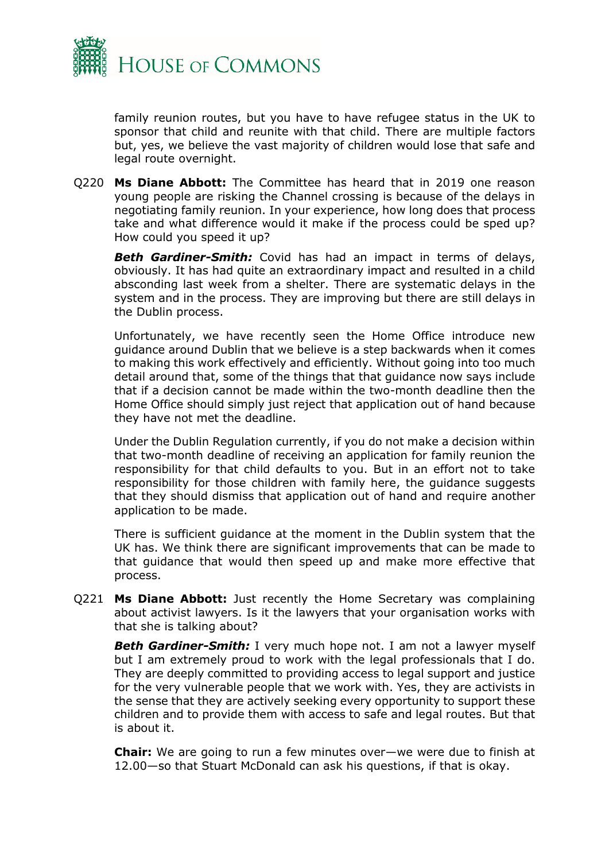![](_page_24_Picture_0.jpeg)

family reunion routes, but you have to have refugee status in the UK to sponsor that child and reunite with that child. There are multiple factors but, yes, we believe the vast majority of children would lose that safe and legal route overnight.

Q220 **Ms Diane Abbott:** The Committee has heard that in 2019 one reason young people are risking the Channel crossing is because of the delays in negotiating family reunion. In your experience, how long does that process take and what difference would it make if the process could be sped up? How could you speed it up?

*Beth Gardiner-Smith:* Covid has had an impact in terms of delays, obviously. It has had quite an extraordinary impact and resulted in a child absconding last week from a shelter. There are systematic delays in the system and in the process. They are improving but there are still delays in the Dublin process.

Unfortunately, we have recently seen the Home Office introduce new guidance around Dublin that we believe is a step backwards when it comes to making this work effectively and efficiently. Without going into too much detail around that, some of the things that that guidance now says include that if a decision cannot be made within the two-month deadline then the Home Office should simply just reject that application out of hand because they have not met the deadline.

Under the Dublin Regulation currently, if you do not make a decision within that two-month deadline of receiving an application for family reunion the responsibility for that child defaults to you. But in an effort not to take responsibility for those children with family here, the guidance suggests that they should dismiss that application out of hand and require another application to be made.

There is sufficient guidance at the moment in the Dublin system that the UK has. We think there are significant improvements that can be made to that guidance that would then speed up and make more effective that process.

Q221 **Ms Diane Abbott:** Just recently the Home Secretary was complaining about activist lawyers. Is it the lawyers that your organisation works with that she is talking about?

**Beth Gardiner-Smith:** I very much hope not. I am not a lawyer myself but I am extremely proud to work with the legal professionals that I do. They are deeply committed to providing access to legal support and justice for the very vulnerable people that we work with. Yes, they are activists in the sense that they are actively seeking every opportunity to support these children and to provide them with access to safe and legal routes. But that is about it.

**Chair:** We are going to run a few minutes over—we were due to finish at 12.00—so that Stuart McDonald can ask his questions, if that is okay.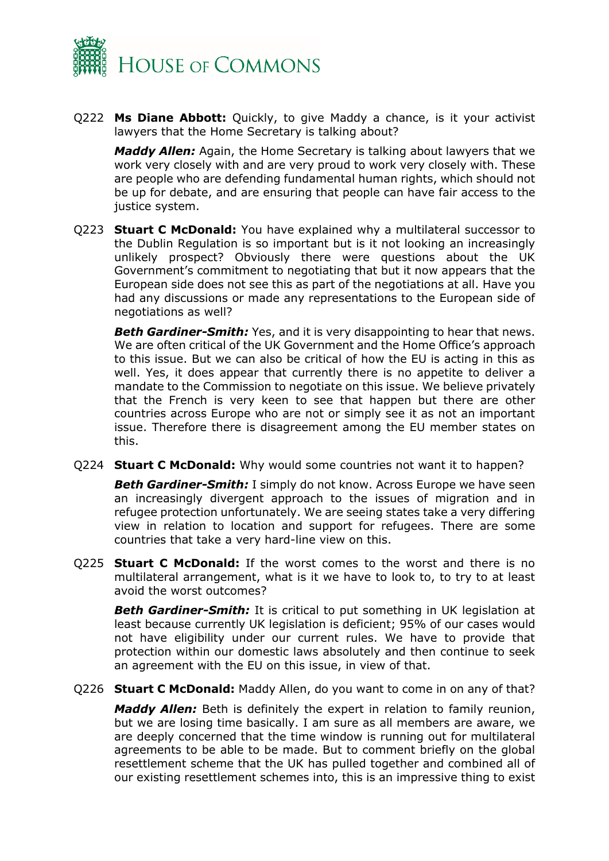![](_page_25_Picture_0.jpeg)

Q222 **Ms Diane Abbott:** Quickly, to give Maddy a chance, is it your activist lawyers that the Home Secretary is talking about?

*Maddy Allen:* Again, the Home Secretary is talking about lawyers that we work very closely with and are very proud to work very closely with. These are people who are defending fundamental human rights, which should not be up for debate, and are ensuring that people can have fair access to the justice system.

Q223 **Stuart C McDonald:** You have explained why a multilateral successor to the Dublin Regulation is so important but is it not looking an increasingly unlikely prospect? Obviously there were questions about the UK Government's commitment to negotiating that but it now appears that the European side does not see this as part of the negotiations at all. Have you had any discussions or made any representations to the European side of negotiations as well?

*Beth Gardiner-Smith:* Yes, and it is very disappointing to hear that news. We are often critical of the UK Government and the Home Office's approach to this issue. But we can also be critical of how the EU is acting in this as well. Yes, it does appear that currently there is no appetite to deliver a mandate to the Commission to negotiate on this issue. We believe privately that the French is very keen to see that happen but there are other countries across Europe who are not or simply see it as not an important issue. Therefore there is disagreement among the EU member states on this.

Q224 **Stuart C McDonald:** Why would some countries not want it to happen?

*Beth Gardiner-Smith:* I simply do not know. Across Europe we have seen an increasingly divergent approach to the issues of migration and in refugee protection unfortunately. We are seeing states take a very differing view in relation to location and support for refugees. There are some countries that take a very hard-line view on this.

Q225 **Stuart C McDonald:** If the worst comes to the worst and there is no multilateral arrangement, what is it we have to look to, to try to at least avoid the worst outcomes?

**Beth Gardiner-Smith:** It is critical to put something in UK legislation at least because currently UK legislation is deficient; 95% of our cases would not have eligibility under our current rules. We have to provide that protection within our domestic laws absolutely and then continue to seek an agreement with the EU on this issue, in view of that.

Q226 **Stuart C McDonald:** Maddy Allen, do you want to come in on any of that?

*Maddy Allen:* Beth is definitely the expert in relation to family reunion, but we are losing time basically. I am sure as all members are aware, we are deeply concerned that the time window is running out for multilateral agreements to be able to be made. But to comment briefly on the global resettlement scheme that the UK has pulled together and combined all of our existing resettlement schemes into, this is an impressive thing to exist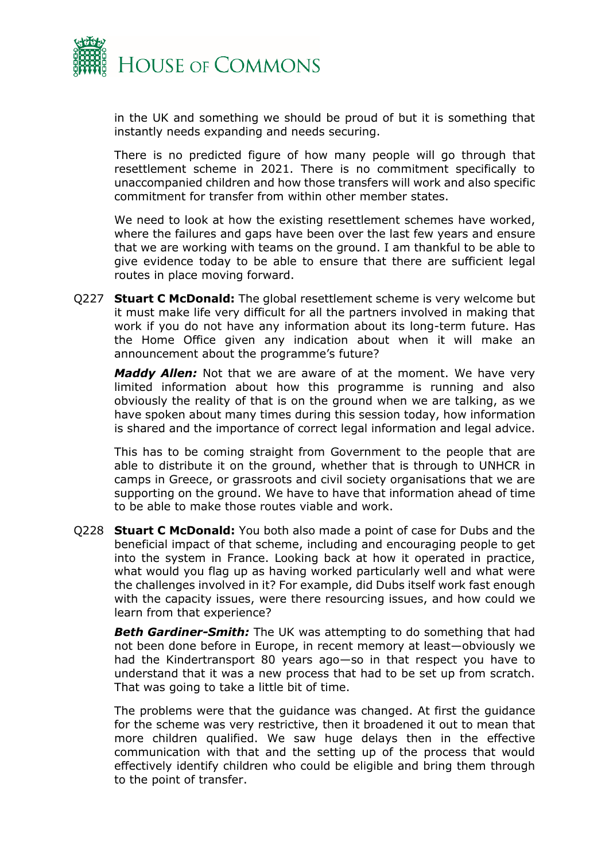![](_page_26_Picture_0.jpeg)

in the UK and something we should be proud of but it is something that instantly needs expanding and needs securing.

There is no predicted figure of how many people will go through that resettlement scheme in 2021. There is no commitment specifically to unaccompanied children and how those transfers will work and also specific commitment for transfer from within other member states.

We need to look at how the existing resettlement schemes have worked, where the failures and gaps have been over the last few years and ensure that we are working with teams on the ground. I am thankful to be able to give evidence today to be able to ensure that there are sufficient legal routes in place moving forward.

Q227 **Stuart C McDonald:** The global resettlement scheme is very welcome but it must make life very difficult for all the partners involved in making that work if you do not have any information about its long-term future. Has the Home Office given any indication about when it will make an announcement about the programme's future?

*Maddy Allen:* Not that we are aware of at the moment. We have very limited information about how this programme is running and also obviously the reality of that is on the ground when we are talking, as we have spoken about many times during this session today, how information is shared and the importance of correct legal information and legal advice.

This has to be coming straight from Government to the people that are able to distribute it on the ground, whether that is through to UNHCR in camps in Greece, or grassroots and civil society organisations that we are supporting on the ground. We have to have that information ahead of time to be able to make those routes viable and work.

Q228 **Stuart C McDonald:** You both also made a point of case for Dubs and the beneficial impact of that scheme, including and encouraging people to get into the system in France. Looking back at how it operated in practice, what would you flag up as having worked particularly well and what were the challenges involved in it? For example, did Dubs itself work fast enough with the capacity issues, were there resourcing issues, and how could we learn from that experience?

**Beth Gardiner-Smith:** The UK was attempting to do something that had not been done before in Europe, in recent memory at least—obviously we had the Kindertransport 80 years ago—so in that respect you have to understand that it was a new process that had to be set up from scratch. That was going to take a little bit of time.

The problems were that the guidance was changed. At first the guidance for the scheme was very restrictive, then it broadened it out to mean that more children qualified. We saw huge delays then in the effective communication with that and the setting up of the process that would effectively identify children who could be eligible and bring them through to the point of transfer.